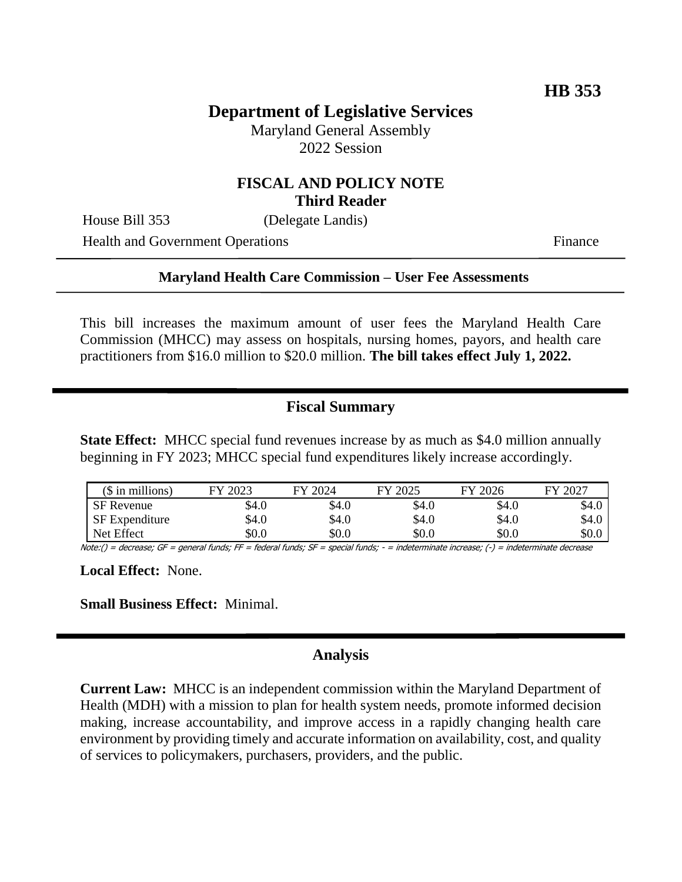# **Department of Legislative Services**

Maryland General Assembly 2022 Session

#### **FISCAL AND POLICY NOTE Third Reader**

House Bill 353 (Delegate Landis)

Health and Government Operations Finance

#### **Maryland Health Care Commission – User Fee Assessments**

This bill increases the maximum amount of user fees the Maryland Health Care Commission (MHCC) may assess on hospitals, nursing homes, payors, and health care practitioners from \$16.0 million to \$20.0 million. **The bill takes effect July 1, 2022.**

## **Fiscal Summary**

**State Effect:** MHCC special fund revenues increase by as much as \$4.0 million annually beginning in FY 2023; MHCC special fund expenditures likely increase accordingly.

| $$$ in millions)  | 2023<br>FY | FY 2024 | 2025<br>FY. | FY 2026 | $1202^{\circ}$<br>FY |
|-------------------|------------|---------|-------------|---------|----------------------|
| <b>SF</b> Revenue | \$4.0      | \$4.0   | \$4.0       | \$4.0   | \$4.0                |
| SF Expenditure    | \$4.0      | \$4.0   | \$4.0       | \$4.0   | \$4.0                |
| Net Effect        | \$0.0      | \$0.0   | \$0.0       | \$0.0   | \$0.0                |

Note:() = decrease; GF = general funds; FF = federal funds; SF = special funds; - = indeterminate increase; (-) = indeterminate decrease

**Local Effect:** None.

**Small Business Effect:** Minimal.

#### **Analysis**

**Current Law:** MHCC is an independent commission within the Maryland Department of Health (MDH) with a mission to plan for health system needs, promote informed decision making, increase accountability, and improve access in a rapidly changing health care environment by providing timely and accurate information on availability, cost, and quality of services to policymakers, purchasers, providers, and the public.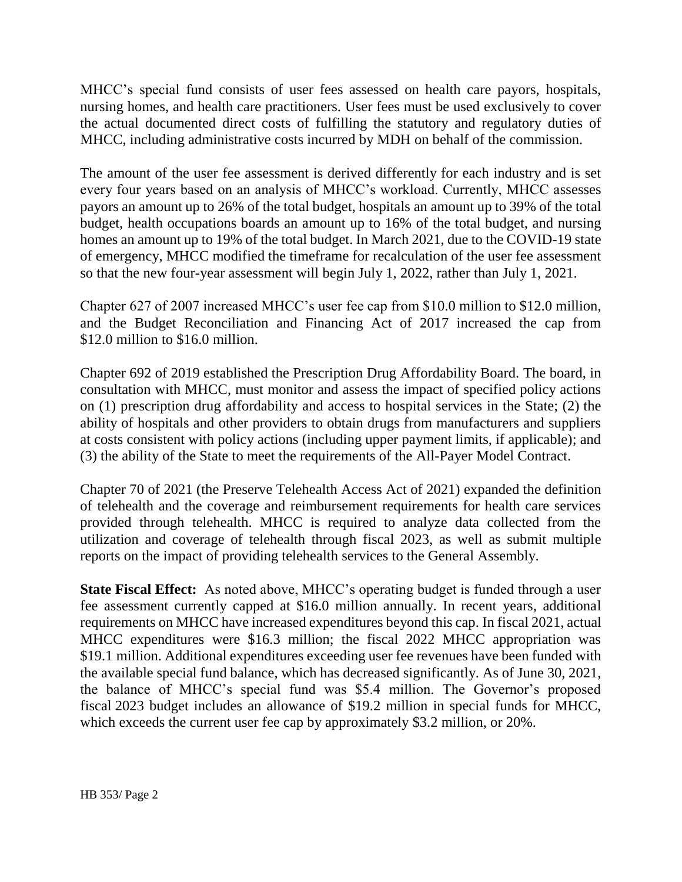MHCC's special fund consists of user fees assessed on health care payors, hospitals, nursing homes, and health care practitioners. User fees must be used exclusively to cover the actual documented direct costs of fulfilling the statutory and regulatory duties of MHCC, including administrative costs incurred by MDH on behalf of the commission.

The amount of the user fee assessment is derived differently for each industry and is set every four years based on an analysis of MHCC's workload. Currently, MHCC assesses payors an amount up to 26% of the total budget, hospitals an amount up to 39% of the total budget, health occupations boards an amount up to 16% of the total budget, and nursing homes an amount up to 19% of the total budget. In March 2021, due to the COVID-19 state of emergency, MHCC modified the timeframe for recalculation of the user fee assessment so that the new four-year assessment will begin July 1, 2022, rather than July 1, 2021.

Chapter 627 of 2007 increased MHCC's user fee cap from \$10.0 million to \$12.0 million, and the Budget Reconciliation and Financing Act of 2017 increased the cap from \$12.0 million to \$16.0 million.

Chapter 692 of 2019 established the Prescription Drug Affordability Board. The board, in consultation with MHCC, must monitor and assess the impact of specified policy actions on (1) prescription drug affordability and access to hospital services in the State; (2) the ability of hospitals and other providers to obtain drugs from manufacturers and suppliers at costs consistent with policy actions (including upper payment limits, if applicable); and (3) the ability of the State to meet the requirements of the All-Payer Model Contract.

Chapter 70 of 2021 (the Preserve Telehealth Access Act of 2021) expanded the definition of telehealth and the coverage and reimbursement requirements for health care services provided through telehealth. MHCC is required to analyze data collected from the utilization and coverage of telehealth through fiscal 2023, as well as submit multiple reports on the impact of providing telehealth services to the General Assembly.

**State Fiscal Effect:** As noted above, MHCC's operating budget is funded through a user fee assessment currently capped at \$16.0 million annually. In recent years, additional requirements on MHCC have increased expenditures beyond this cap. In fiscal 2021, actual MHCC expenditures were \$16.3 million; the fiscal 2022 MHCC appropriation was \$19.1 million. Additional expenditures exceeding user fee revenues have been funded with the available special fund balance, which has decreased significantly. As of June 30, 2021, the balance of MHCC's special fund was \$5.4 million. The Governor's proposed fiscal 2023 budget includes an allowance of \$19.2 million in special funds for MHCC, which exceeds the current user fee cap by approximately \$3.2 million, or 20%.